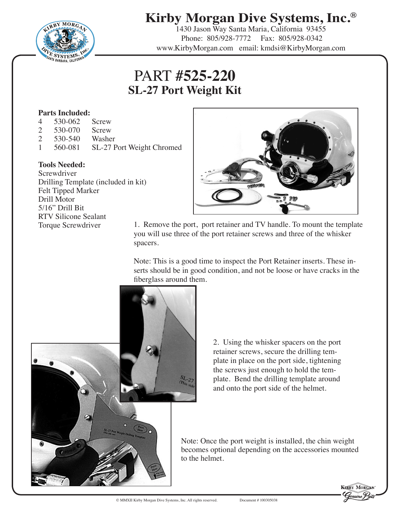

# **Kirby Morgan Dive Systems, Inc.®**

1430 Jason Way Santa Maria, California 93455 Phone: 805/928-7772 Fax: 805/928-0342 www.KirbyMorgan.com email: kmdsi@KirbyMorgan.com

# PART **#525-220 SL-27 Port Weight Kit**

### **Parts Included:**

- 4 530-062 Screw
- 2 530-070 Screw
- 2 530-540 Washer<br>1 560-081 SL-27 F
- 1 560-081 SL-27 Port Weight Chromed

#### **Tools Needed:**

**Screwdriver** Drilling Template (included in kit) Felt Tipped Marker Drill Motor 5/16" Drill Bit RTV Silicone Sealant



Torque Screwdriver 1. Remove the port, port retainer and TV handle. To mount the template you will use three of the port retainer screws and three of the whisker spacers.

> Note: This is a good time to inspect the Port Retainer inserts. These inserts should be in good condition, and not be loose or have cracks in the fiberglass around them.



2. Using the whisker spacers on the port retainer screws, secure the drilling template in place on the port side, tightening the screws just enough to hold the template. Bend the drilling template around and onto the port side of the helmet.

Note: Once the port weight is installed, the chin weight becomes optional depending on the accessories mounted to the helmet.

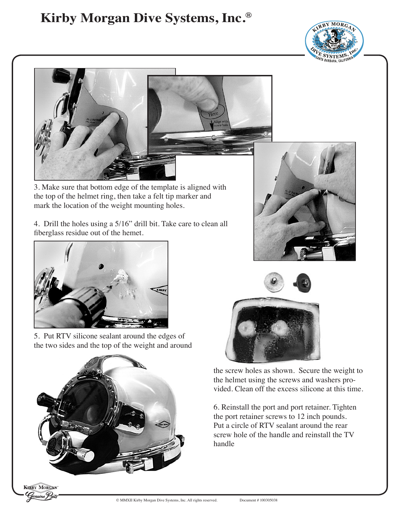# **Kirby Morgan Dive Systems, Inc.®**





3. Make sure that bottom edge of the template is aligned with the top of the helmet ring, then take a felt tip marker and mark the location of the weight mounting holes.

4. Drill the holes using a 5/16" drill bit. Take care to clean all fiberglass residue out of the hemet.



5. Put RTV silicone sealant around the edges of the two sides and the top of the weight and around



**KERBY MORGAN** 





the screw holes as shown. Secure the weight to the helmet using the screws and washers provided. Clean off the excess silicone at this time.

6. Reinstall the port and port retainer. Tighten the port retainer screws to 12 inch pounds. Put a circle of RTV sealant around the rear screw hole of the handle and reinstall the TV handle